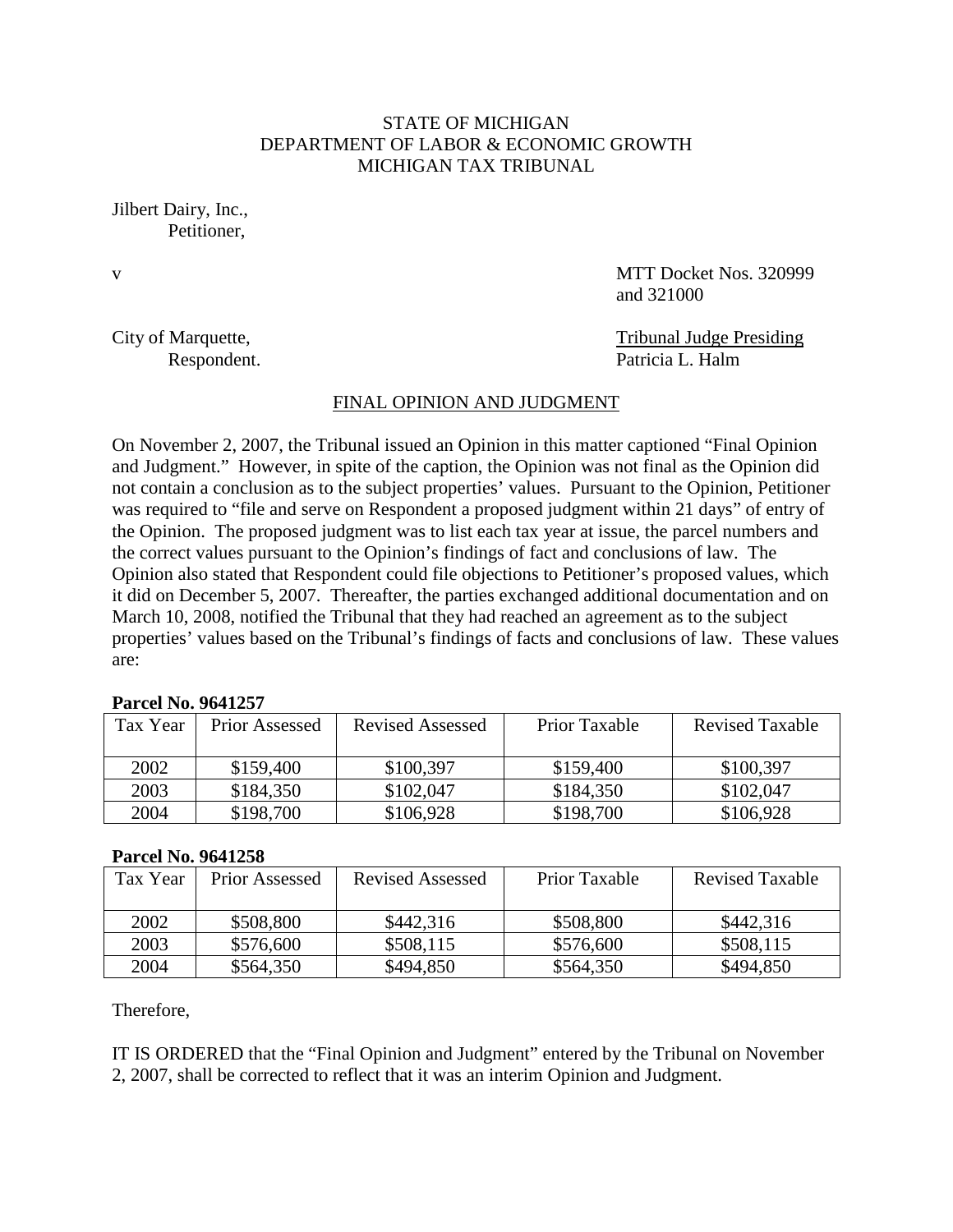# STATE OF MICHIGAN DEPARTMENT OF LABOR & ECONOMIC GROWTH MICHIGAN TAX TRIBUNAL

Jilbert Dairy, Inc., Petitioner,

v MTT Docket Nos. 320999 and 321000

City of Marquette, Tribunal Judge Presiding Respondent. Patricia L. Halm

# FINAL OPINION AND JUDGMENT

On November 2, 2007, the Tribunal issued an Opinion in this matter captioned "Final Opinion and Judgment." However, in spite of the caption, the Opinion was not final as the Opinion did not contain a conclusion as to the subject properties' values. Pursuant to the Opinion, Petitioner was required to "file and serve on Respondent a proposed judgment within 21 days" of entry of the Opinion. The proposed judgment was to list each tax year at issue, the parcel numbers and the correct values pursuant to the Opinion's findings of fact and conclusions of law. The Opinion also stated that Respondent could file objections to Petitioner's proposed values, which it did on December 5, 2007. Thereafter, the parties exchanged additional documentation and on March 10, 2008, notified the Tribunal that they had reached an agreement as to the subject properties' values based on the Tribunal's findings of facts and conclusions of law. These values are:

#### **Parcel No. 9641257**

| Tax Year | <b>Prior Assessed</b> | <b>Revised Assessed</b> | <b>Prior Taxable</b> | <b>Revised Taxable</b> |
|----------|-----------------------|-------------------------|----------------------|------------------------|
| 2002     | \$159,400             | \$100,397               | \$159,400            | \$100,397              |
| 2003     | \$184,350             | \$102,047               | \$184,350            | \$102,047              |
| 2004     | \$198,700             | \$106,928               | \$198,700            | \$106,928              |

#### **Parcel No. 9641258**

| Tax Year | <b>Prior Assessed</b> | <b>Revised Assessed</b> | Prior Taxable | <b>Revised Taxable</b> |
|----------|-----------------------|-------------------------|---------------|------------------------|
| 2002     | \$508,800             | \$442,316               | \$508,800     | \$442,316              |
| 2003     | \$576,600             | \$508,115               | \$576,600     | \$508,115              |
| 2004     | \$564,350             | \$494,850               | \$564,350     | \$494,850              |

Therefore,

IT IS ORDERED that the "Final Opinion and Judgment" entered by the Tribunal on November 2, 2007, shall be corrected to reflect that it was an interim Opinion and Judgment.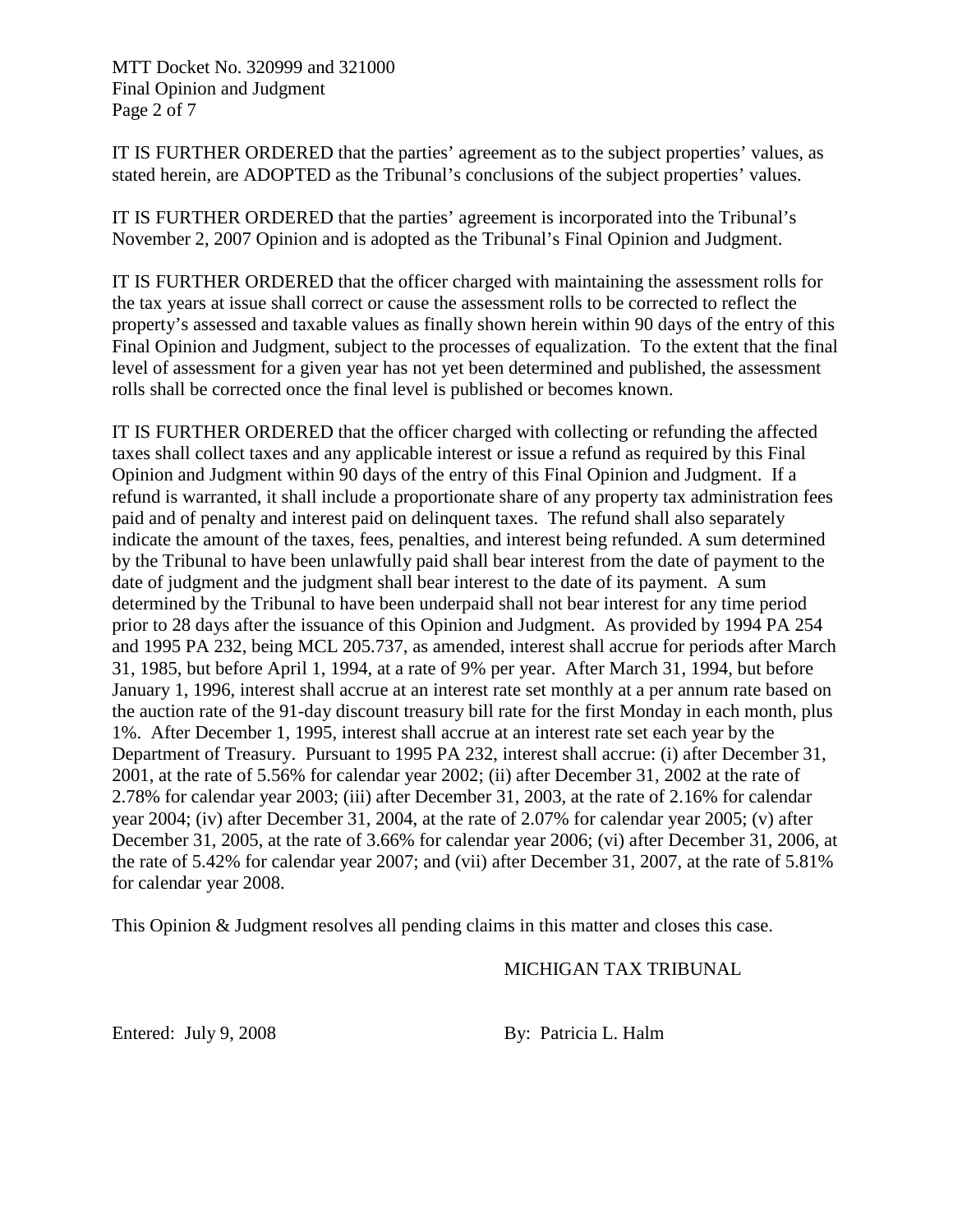MTT Docket No. 320999 and 321000 Final Opinion and Judgment Page 2 of 7

IT IS FURTHER ORDERED that the parties' agreement as to the subject properties' values, as stated herein, are ADOPTED as the Tribunal's conclusions of the subject properties' values.

IT IS FURTHER ORDERED that the parties' agreement is incorporated into the Tribunal's November 2, 2007 Opinion and is adopted as the Tribunal's Final Opinion and Judgment.

IT IS FURTHER ORDERED that the officer charged with maintaining the assessment rolls for the tax years at issue shall correct or cause the assessment rolls to be corrected to reflect the property's assessed and taxable values as finally shown herein within 90 days of the entry of this Final Opinion and Judgment, subject to the processes of equalization. To the extent that the final level of assessment for a given year has not yet been determined and published, the assessment rolls shall be corrected once the final level is published or becomes known.

IT IS FURTHER ORDERED that the officer charged with collecting or refunding the affected taxes shall collect taxes and any applicable interest or issue a refund as required by this Final Opinion and Judgment within 90 days of the entry of this Final Opinion and Judgment. If a refund is warranted, it shall include a proportionate share of any property tax administration fees paid and of penalty and interest paid on delinquent taxes. The refund shall also separately indicate the amount of the taxes, fees, penalties, and interest being refunded. A sum determined by the Tribunal to have been unlawfully paid shall bear interest from the date of payment to the date of judgment and the judgment shall bear interest to the date of its payment. A sum determined by the Tribunal to have been underpaid shall not bear interest for any time period prior to 28 days after the issuance of this Opinion and Judgment. As provided by 1994 PA 254 and 1995 PA 232, being MCL 205.737, as amended, interest shall accrue for periods after March 31, 1985, but before April 1, 1994, at a rate of 9% per year. After March 31, 1994, but before January 1, 1996, interest shall accrue at an interest rate set monthly at a per annum rate based on the auction rate of the 91-day discount treasury bill rate for the first Monday in each month, plus 1%. After December 1, 1995, interest shall accrue at an interest rate set each year by the Department of Treasury. Pursuant to 1995 PA 232, interest shall accrue: (i) after December 31, 2001, at the rate of 5.56% for calendar year 2002; (ii) after December 31, 2002 at the rate of 2.78% for calendar year 2003; (iii) after December 31, 2003, at the rate of 2.16% for calendar year 2004; (iv) after December 31, 2004, at the rate of 2.07% for calendar year 2005; (v) after December 31, 2005, at the rate of 3.66% for calendar year 2006; (vi) after December 31, 2006, at the rate of 5.42% for calendar year 2007; and (vii) after December 31, 2007, at the rate of 5.81% for calendar year 2008.

This Opinion & Judgment resolves all pending claims in this matter and closes this case.

### MICHIGAN TAX TRIBUNAL

Entered: July 9, 2008 By: Patricia L. Halm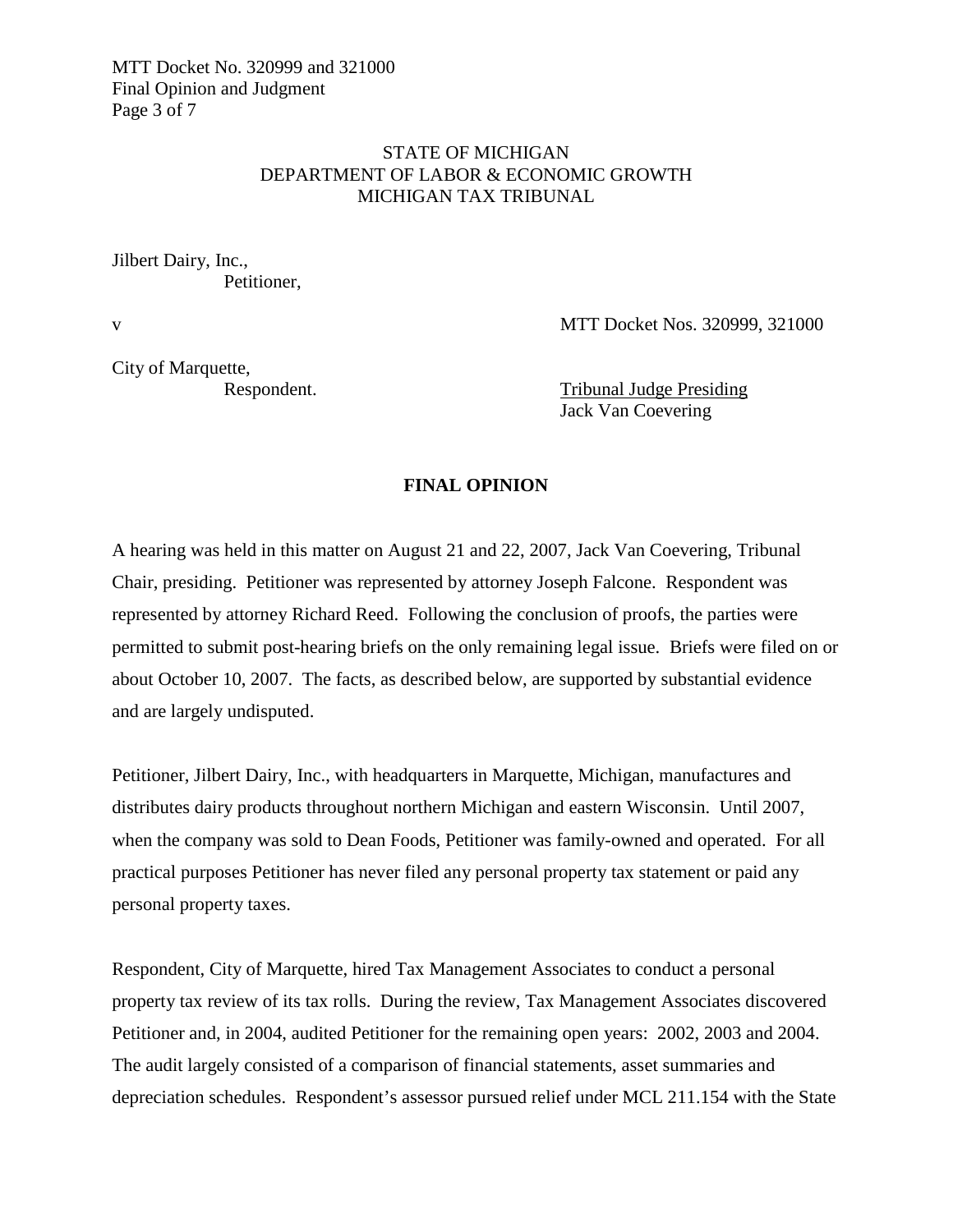### STATE OF MICHIGAN DEPARTMENT OF LABOR & ECONOMIC GROWTH MICHIGAN TAX TRIBUNAL

Jilbert Dairy, Inc., Petitioner,

v MTT Docket Nos. 320999, 321000

City of Marquette,

Respondent. Tribunal Judge Presiding Jack Van Coevering

### **FINAL OPINION**

A hearing was held in this matter on August 21 and 22, 2007, Jack Van Coevering, Tribunal Chair, presiding. Petitioner was represented by attorney Joseph Falcone. Respondent was represented by attorney Richard Reed. Following the conclusion of proofs, the parties were permitted to submit post-hearing briefs on the only remaining legal issue. Briefs were filed on or about October 10, 2007. The facts, as described below, are supported by substantial evidence and are largely undisputed.

Petitioner, Jilbert Dairy, Inc., with headquarters in Marquette, Michigan, manufactures and distributes dairy products throughout northern Michigan and eastern Wisconsin. Until 2007, when the company was sold to Dean Foods, Petitioner was family-owned and operated. For all practical purposes Petitioner has never filed any personal property tax statement or paid any personal property taxes.

Respondent, City of Marquette, hired Tax Management Associates to conduct a personal property tax review of its tax rolls. During the review, Tax Management Associates discovered Petitioner and, in 2004, audited Petitioner for the remaining open years: 2002, 2003 and 2004. The audit largely consisted of a comparison of financial statements, asset summaries and depreciation schedules. Respondent's assessor pursued relief under MCL 211.154 with the State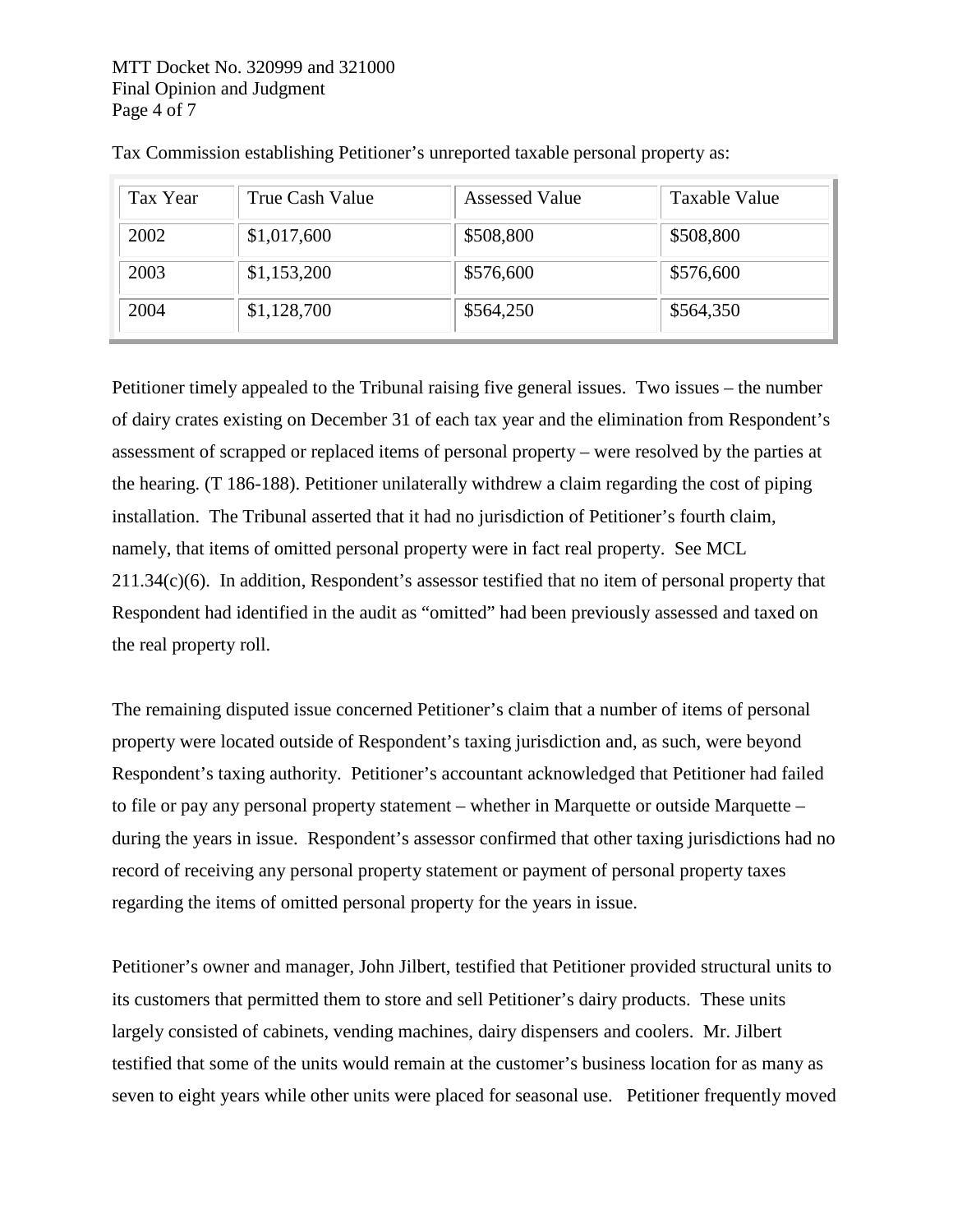| Tax Year | True Cash Value | <b>Assessed Value</b> | Taxable Value |
|----------|-----------------|-----------------------|---------------|
| 2002     | \$1,017,600     | \$508,800             | \$508,800     |
| 2003     | \$1,153,200     | \$576,600             | \$576,600     |
| 2004     | \$1,128,700     | \$564,250             | \$564,350     |

Tax Commission establishing Petitioner's unreported taxable personal property as:

Petitioner timely appealed to the Tribunal raising five general issues. Two issues – the number of dairy crates existing on December 31 of each tax year and the elimination from Respondent's assessment of scrapped or replaced items of personal property – were resolved by the parties at the hearing. (T 186-188). Petitioner unilaterally withdrew a claim regarding the cost of piping installation. The Tribunal asserted that it had no jurisdiction of Petitioner's fourth claim, namely, that items of omitted personal property were in fact real property. See MCL 211.34(c)(6). In addition, Respondent's assessor testified that no item of personal property that Respondent had identified in the audit as "omitted" had been previously assessed and taxed on the real property roll.

The remaining disputed issue concerned Petitioner's claim that a number of items of personal property were located outside of Respondent's taxing jurisdiction and, as such, were beyond Respondent's taxing authority. Petitioner's accountant acknowledged that Petitioner had failed to file or pay any personal property statement – whether in Marquette or outside Marquette – during the years in issue. Respondent's assessor confirmed that other taxing jurisdictions had no record of receiving any personal property statement or payment of personal property taxes regarding the items of omitted personal property for the years in issue.

Petitioner's owner and manager, John Jilbert, testified that Petitioner provided structural units to its customers that permitted them to store and sell Petitioner's dairy products. These units largely consisted of cabinets, vending machines, dairy dispensers and coolers. Mr. Jilbert testified that some of the units would remain at the customer's business location for as many as seven to eight years while other units were placed for seasonal use. Petitioner frequently moved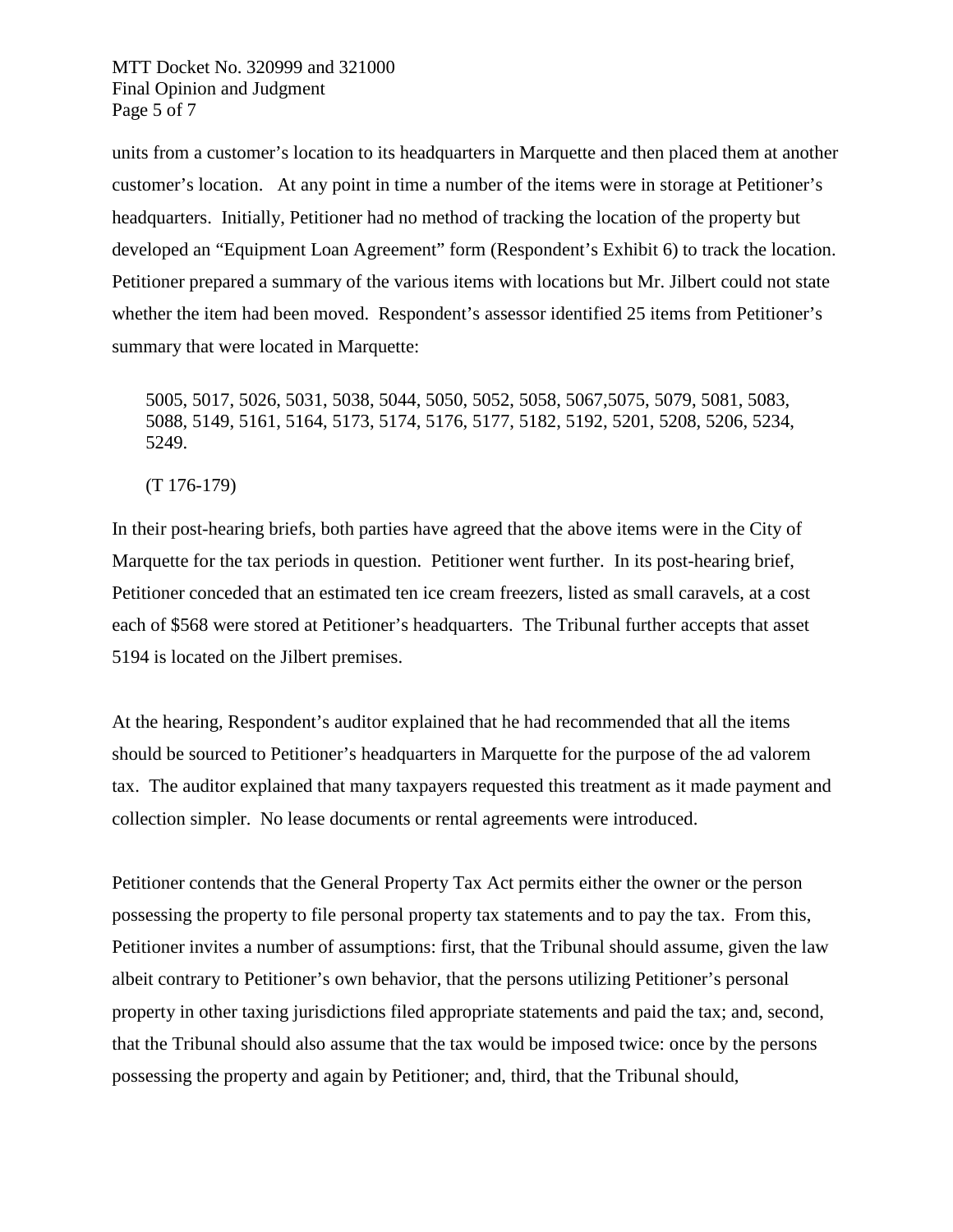MTT Docket No. 320999 and 321000 Final Opinion and Judgment Page 5 of 7

units from a customer's location to its headquarters in Marquette and then placed them at another customer's location. At any point in time a number of the items were in storage at Petitioner's headquarters. Initially, Petitioner had no method of tracking the location of the property but developed an "Equipment Loan Agreement" form (Respondent's Exhibit 6) to track the location. Petitioner prepared a summary of the various items with locations but Mr. Jilbert could not state whether the item had been moved. Respondent's assessor identified 25 items from Petitioner's summary that were located in Marquette:

5005, 5017, 5026, 5031, 5038, 5044, 5050, 5052, 5058, 5067,5075, 5079, 5081, 5083, 5088, 5149, 5161, 5164, 5173, 5174, 5176, 5177, 5182, 5192, 5201, 5208, 5206, 5234, 5249.

(T 176-179)

In their post-hearing briefs, both parties have agreed that the above items were in the City of Marquette for the tax periods in question. Petitioner went further. In its post-hearing brief, Petitioner conceded that an estimated ten ice cream freezers, listed as small caravels, at a cost each of \$568 were stored at Petitioner's headquarters. The Tribunal further accepts that asset 5194 is located on the Jilbert premises.

At the hearing, Respondent's auditor explained that he had recommended that all the items should be sourced to Petitioner's headquarters in Marquette for the purpose of the ad valorem tax. The auditor explained that many taxpayers requested this treatment as it made payment and collection simpler. No lease documents or rental agreements were introduced.

Petitioner contends that the General Property Tax Act permits either the owner or the person possessing the property to file personal property tax statements and to pay the tax. From this, Petitioner invites a number of assumptions: first, that the Tribunal should assume, given the law albeit contrary to Petitioner's own behavior, that the persons utilizing Petitioner's personal property in other taxing jurisdictions filed appropriate statements and paid the tax; and, second, that the Tribunal should also assume that the tax would be imposed twice: once by the persons possessing the property and again by Petitioner; and, third, that the Tribunal should,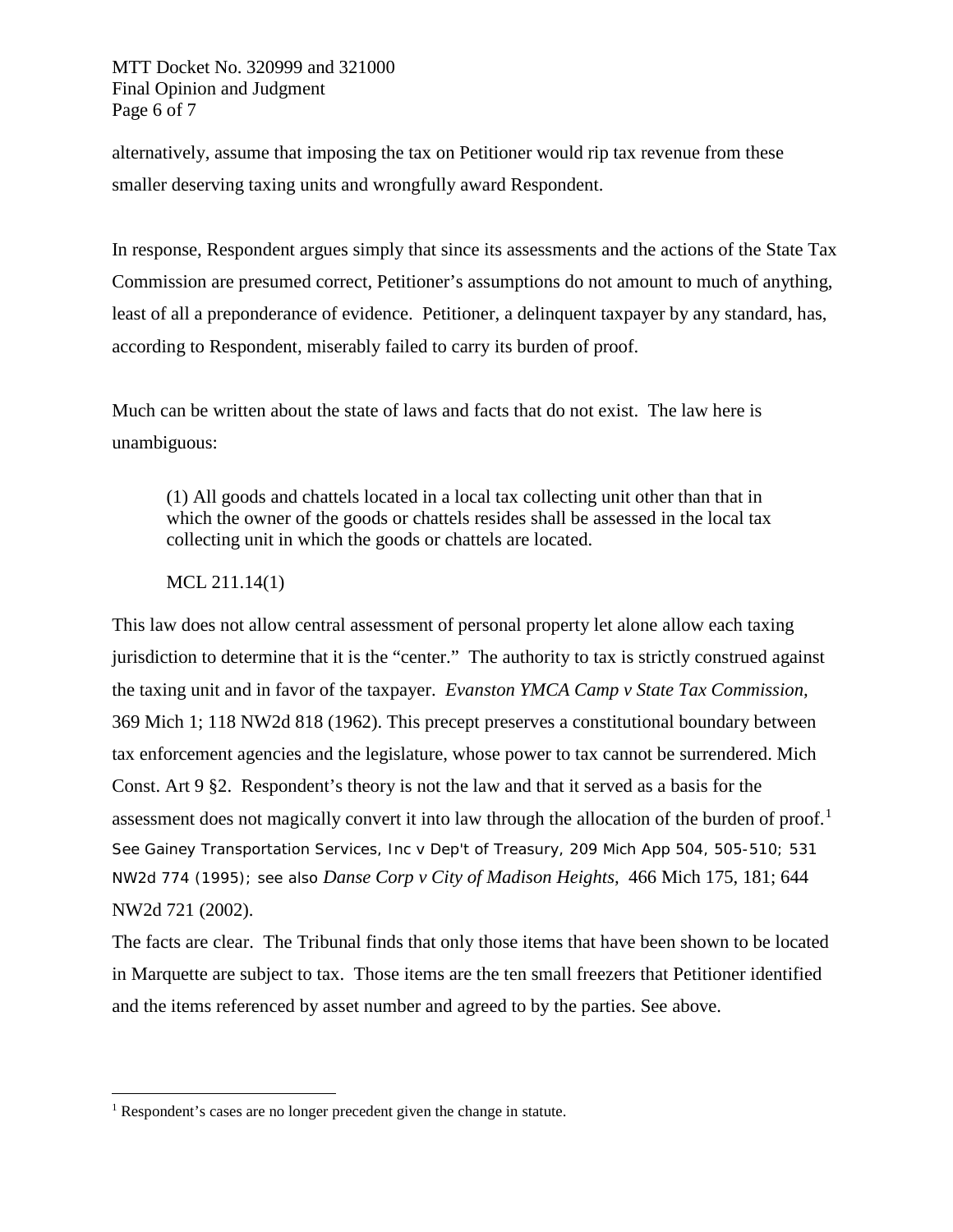MTT Docket No. 320999 and 321000 Final Opinion and Judgment Page 6 of 7

alternatively, assume that imposing the tax on Petitioner would rip tax revenue from these smaller deserving taxing units and wrongfully award Respondent.

In response, Respondent argues simply that since its assessments and the actions of the State Tax Commission are presumed correct, Petitioner's assumptions do not amount to much of anything, least of all a preponderance of evidence. Petitioner, a delinquent taxpayer by any standard, has, according to Respondent, miserably failed to carry its burden of proof.

Much can be written about the state of laws and facts that do not exist. The law here is unambiguous:

(1) All goods and chattels located in a local tax collecting unit other than that in which the owner of the goods or chattels resides shall be assessed in the local tax collecting unit in which the goods or chattels are located.

# MCL 211.14(1)

This law does not allow central assessment of personal property let alone allow each taxing jurisdiction to determine that it is the "center." The authority to tax is strictly construed against the taxing unit and in favor of the taxpayer. *Evanston YMCA Camp v State Tax Commission,*  369 Mich 1; 118 NW2d 818 (1962). This precept preserves a constitutional boundary between tax enforcement agencies and the legislature, whose power to tax cannot be surrendered. Mich Const. Art 9 §2. Respondent's theory is not the law and that it served as a basis for the assessment does not magically convert it into law through the allocation of the burden of proof.<sup>[1](#page-5-0)</sup> See *Gainey Transportation Services, Inc v Dep't of Treasury,* 209 Mich App 504, 505-510; 531 NW2d 774 (1995); see also *Danse Corp v City of Madison Heights,* 466 Mich 175, 181; 644 NW2d 721 (2002).

The facts are clear. The Tribunal finds that only those items that have been shown to be located in Marquette are subject to tax. Those items are the ten small freezers that Petitioner identified and the items referenced by asset number and agreed to by the parties. See above.

<span id="page-5-0"></span><sup>&</sup>lt;sup>1</sup> Respondent's cases are no longer precedent given the change in statute.